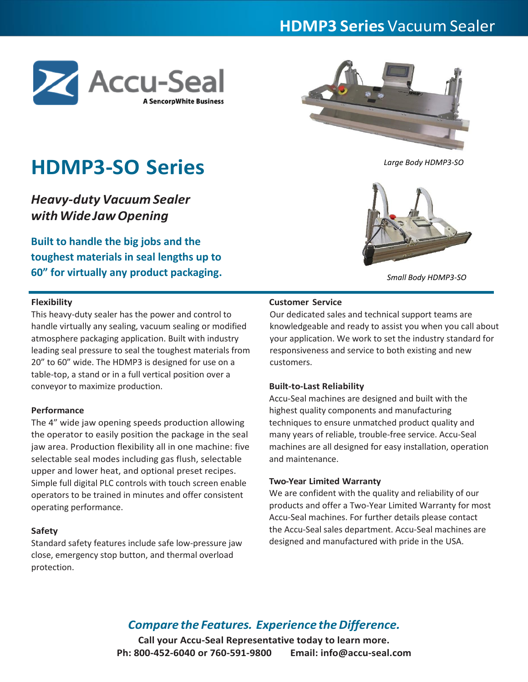# **HDMP3 Series** Vacuum Sealer





# *Large Body HDMP3-SO*

# **HDMP3-SO Series**

*Heavy-duty Vacuum Sealer withWideJawOpening*

**Built to handle the big jobs and the toughest materials in seal lengths up to 60" for virtually any product packaging.**

*Small Body HDMP3-SO*

# **Flexibility**

This heavy-duty sealer has the power and control to handle virtually any sealing, vacuum sealing or modified atmosphere packaging application. Built with industry leading seal pressure to seal the toughest materials from 20" to 60" wide. The HDMP3 is designed for use on a table-top, a stand or in a full vertical position over a conveyor to maximize production.

# **Performance**

The 4" wide jaw opening speeds production allowing the operator to easily position the package in the seal jaw area. Production flexibility all in one machine: five selectable seal modes including gas flush, selectable upper and lower heat, and optional preset recipes. Simple full digital PLC controls with touch screen enable operators to be trained in minutes and offer consistent operating performance.

### **Safety**

Standard safety features include safe low-pressure jaw close, emergency stop button, and thermal overload protection.

# **Customer Service**

Our dedicated sales and technical support teams are knowledgeable and ready to assist you when you call about your application. We work to set the industry standard for responsiveness and service to both existing and new customers.

#### **Built-to-Last Reliability**

Accu-Seal machines are designed and built with the highest quality components and manufacturing techniques to ensure unmatched product quality and many years of reliable, trouble-free service. Accu-Seal machines are all designed for easy installation, operation and maintenance.

#### **Two-Year Limited Warranty**

We are confident with the quality and reliability of our products and offer a Two-Year Limited Warranty for most Accu-Seal machines. For further details please contact the Accu-Seal sales department. Accu-Seal machines are designed and manufactured with pride in the USA.

# *Compare the Features. Experience the Difference.*

**Call your Accu-Seal Representative today to learn more. Ph: 800-452-6040 or 760-591-9800 Email: info@accu-seal.com**